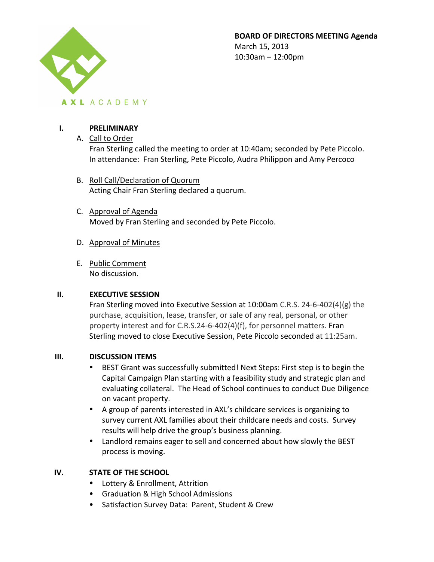

**BOARD OF DIRECTORS MEETING Agenda** March 15, 2013  $10:30$ am  $- 12:00$ pm

## **I. PRELIMINARY**

A. Call to Order

Fran Sterling called the meeting to order at 10:40am; seconded by Pete Piccolo. In attendance: Fran Sterling, Pete Piccolo, Audra Philippon and Amy Percoco

- B. Roll Call/Declaration of Quorum Acting Chair Fran Sterling declared a quorum.
- C. Approval of Agenda Moved by Fran Sterling and seconded by Pete Piccolo.
- D. Approval of Minutes
- E. Public Comment No discussion.

### **II. EXECUTIVE SESSION**

Fran Sterling moved into Executive Session at 10:00am C.R.S. 24-6-402(4)(g) the purchase, acquisition, lease, transfer, or sale of any real, personal, or other property interest and for C.R.S.24-6-402(4)(f), for personnel matters. Fran Sterling moved to close Executive Session, Pete Piccolo seconded at 11:25am.

### **III. DISCUSSION ITEMS**

- BEST Grant was successfully submitted! Next Steps: First step is to begin the Capital Campaign Plan starting with a feasibility study and strategic plan and evaluating collateral. The Head of School continues to conduct Due Diligence on vacant property.
- A group of parents interested in AXL's childcare services is organizing to survey current AXL families about their childcare needs and costs. Survey results will help drive the group's business planning.
- Landlord remains eager to sell and concerned about how slowly the BEST process is moving.

## **IV. STATE OF THE SCHOOL**

- Lottery & Enrollment, Attrition
- Graduation & High School Admissions
- Satisfaction Survey Data: Parent, Student & Crew